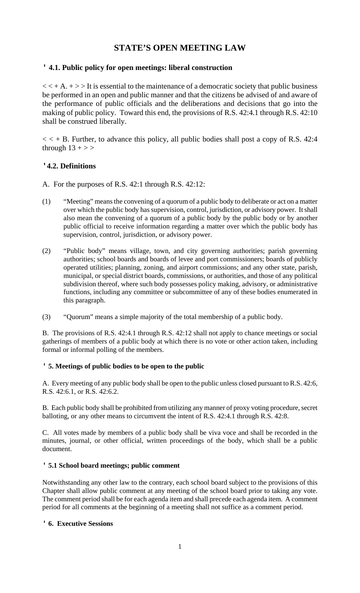# **STATE'S OPEN MEETING LAW**

# **' 4.1. Public policy for open meetings: liberal construction**

 $<< + A. +>>$  It is essential to the maintenance of a democratic society that public business be performed in an open and public manner and that the citizens be advised of and aware of the performance of public officials and the deliberations and decisions that go into the making of public policy. Toward this end, the provisions of R.S. 42:4.1 through R.S. 42:10 shall be construed liberally.

 $<< + B$ . Further, to advance this policy, all public bodies shall post a copy of R.S. 42:4 through  $13 + >>$ 

# **'4.2. Definitions**

- A. For the purposes of R.S. 42:1 through R.S. 42:12:
- (1) "Meeting" means the convening of a quorum of a public body to deliberate or act on a matter over which the public body has supervision, control, jurisdiction, or advisory power. It shall also mean the convening of a quorum of a public body by the public body or by another public official to receive information regarding a matter over which the public body has supervision, control, jurisdiction, or advisory power.
- (2) "Public body" means village, town, and city governing authorities; parish governing authorities; school boards and boards of levee and port commissioners; boards of publicly operated utilities; planning, zoning, and airport commissions; and any other state, parish, municipal, or special district boards, commissions, or authorities, and those of any political subdivision thereof, where such body possesses policy making, advisory, or administrative functions, including any committee or subcommittee of any of these bodies enumerated in this paragraph.
- (3) "Quorum" means a simple majority of the total membership of a public body.

B. The provisions of R.S. 42:4.1 through R.S. 42:12 shall not apply to chance meetings or social gatherings of members of a public body at which there is no vote or other action taken, including formal or informal polling of the members.

#### **' 5. Meetings of public bodies to be open to the public**

A. Every meeting of any public body shall be open to the public unless closed pursuant to R.S. 42:6, R.S. 42:6.1, or R.S. 42:6.2.

B. Each public body shall be prohibited from utilizing any manner of proxy voting procedure, secret balloting, or any other means to circumvent the intent of R.S. 42:4.1 through R.S. 42:8.

C. All votes made by members of a public body shall be viva voce and shall be recorded in the minutes, journal, or other official, written proceedings of the body, which shall be a public document.

# **' 5.1 School board meetings; public comment**

Notwithstanding any other law to the contrary, each school board subject to the provisions of this Chapter shall allow public comment at any meeting of the school board prior to taking any vote. The comment period shall be for each agenda item and shall precede each agenda item. A comment period for all comments at the beginning of a meeting shall not suffice as a comment period.

#### **' 6. Executive Sessions**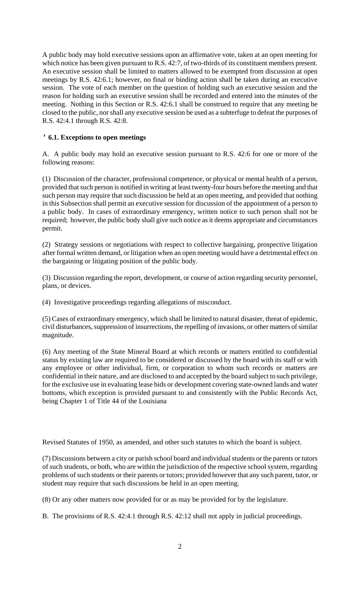A public body may hold executive sessions upon an affirmative vote, taken at an open meeting for which notice has been given pursuant to R.S. 42:7, of two-thirds of its constituent members present. An executive session shall be limited to matters allowed to be exempted from discussion at open meetings by R.S. 42:6.1; however, no final or binding action shall be taken during an executive session. The vote of each member on the question of holding such an executive session and the reason for holding such an executive session shall be recorded and entered into the minutes of the meeting. Nothing in this Section or R.S. 42:6.1 shall be construed to require that any meeting be closed to the public, nor shall any executive session be used as a subterfuge to defeat the purposes of R.S. 42:4.1 through R.S. 42:8.

# **' 6.1. Exceptions to open meetings**

A. A public body may hold an executive session pursuant to R.S. 42:6 for one or more of the following reasons:

(1) Discussion of the character, professional competence, or physical or mental health of a person, provided that such person is notified in writing at least twenty-four hours before the meeting and that such person may require that such discussion be held at an open meeting, and provided that nothing in this Subsection shall permit an executive session for discussion of the appointment of a person to a public body. In cases of extraordinary emergency, written notice to such person shall not be required; however, the public body shall give such notice as it deems appropriate and circumstances permit.

(2) Strategy sessions or negotiations with respect to collective bargaining, prospective litigation after formal written demand, or litigation when an open meeting would have a detrimental effect on the bargaining or litigating position of the public body.

(3) Discussion regarding the report, development, or course of action regarding security personnel, plans, or devices.

(4) Investigative proceedings regarding allegations of misconduct.

(5) Cases of extraordinary emergency, which shall be limited to natural disaster, threat of epidemic, civil disturbances, suppression of insurrections, the repelling of invasions, or other matters of similar magnitude.

(6) Any meeting of the State Mineral Board at which records or matters entitled to confidential status by existing law are required to be considered or discussed by the board with its staff or with any employee or other individual, firm, or corporation to whom such records or matters are confidential in their nature, and are disclosed to and accepted by the board subject to such privilege, for the exclusive use in evaluating lease bids or development covering state-owned lands and water bottoms, which exception is provided pursuant to and consistently with the Public Records Act, being Chapter 1 of Title 44 of the Louisiana

Revised Statutes of 1950, as amended, and other such statutes to which the board is subject.

(7) Discussions between a city or parish school board and individual students or the parents or tutors of such students, or both, who are within the jurisdiction of the respective school system, regarding problems of such students or their parents or tutors; provided however that any such parent, tutor, or student may require that such discussions be held in an open meeting.

(8) Or any other matters now provided for or as may be provided for by the legislature.

B. The provisions of R.S. 42:4.1 through R.S. 42:12 shall not apply in judicial proceedings.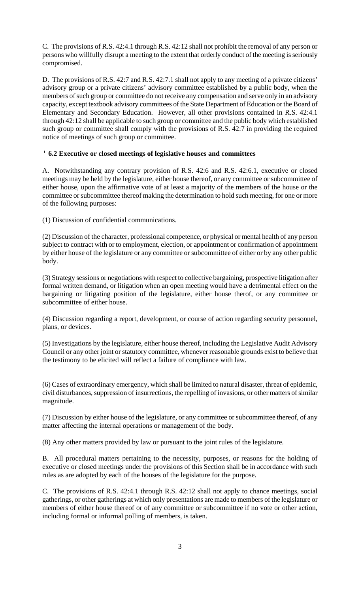C. The provisions of R.S. 42:4.1 through R.S. 42:12 shall not prohibit the removal of any person or persons who willfully disrupt a meeting to the extent that orderly conduct of the meeting is seriously compromised.

D. The provisions of R.S. 42:7 and R.S. 42:7.1 shall not apply to any meeting of a private citizens' advisory group or a private citizens' advisory committee established by a public body, when the members of such group or committee do not receive any compensation and serve only in an advisory capacity, except textbook advisory committees of the State Department of Education or the Board of Elementary and Secondary Education. However, all other provisions contained in R.S. 42:4.1 through 42:12 shall be applicable to such group or committee and the public body which established such group or committee shall comply with the provisions of R.S. 42:7 in providing the required notice of meetings of such group or committee.

#### **' 6.2 Executive or closed meetings of legislative houses and committees**

A. Notwithstanding any contrary provision of R.S. 42:6 and R.S. 42:6.1, executive or closed meetings may be held by the legislature, either house thereof, or any committee or subcommittee of either house, upon the affirmative vote of at least a majority of the members of the house or the committee or subcommittee thereof making the determination to hold such meeting, for one or more of the following purposes:

(1) Discussion of confidential communications.

(2) Discussion of the character, professional competence, or physical or mental health of any person subject to contract with or to employment, election, or appointment or confirmation of appointment by either house of the legislature or any committee or subcommittee of either or by any other public body.

(3) Strategy sessions or negotiations with respect to collective bargaining, prospective litigation after formal written demand, or litigation when an open meeting would have a detrimental effect on the bargaining or litigating position of the legislature, either house therof, or any committee or subcommittee of either house.

(4) Discussion regarding a report, development, or course of action regarding security personnel, plans, or devices.

(5) Investigations by the legislature, either house thereof, including the Legislative Audit Advisory Council or any other joint or statutory committee, whenever reasonable grounds exist to believe that the testimony to be elicited will reflect a failure of compliance with law.

(6) Cases of extraordinary emergency, which shall be limited to natural disaster, threat of epidemic, civil disturbances, suppression of insurrections, the repelling of invasions, or other matters of similar magnitude.

(7) Discussion by either house of the legislature, or any committee or subcommittee thereof, of any matter affecting the internal operations or management of the body.

(8) Any other matters provided by law or pursuant to the joint rules of the legislature.

B. All procedural matters pertaining to the necessity, purposes, or reasons for the holding of executive or closed meetings under the provisions of this Section shall be in accordance with such rules as are adopted by each of the houses of the legislature for the purpose.

C. The provisions of R.S. 42:4.1 through R.S. 42:12 shall not apply to chance meetings, social gatherings, or other gatherings at which only presentations are made to members of the legislature or members of either house thereof or of any committee or subcommittee if no vote or other action, including formal or informal polling of members, is taken.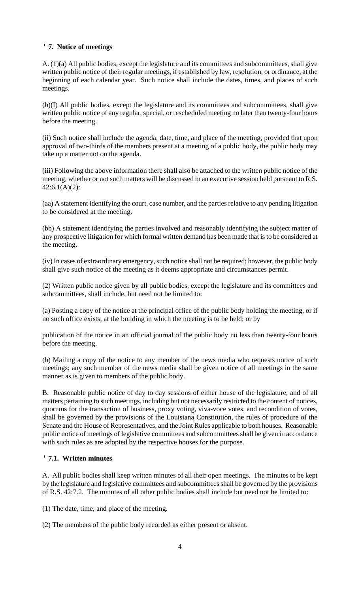### **' 7. Notice of meetings**

A. (1)(a) All public bodies, except the legislature and its committees and subcommittees, shall give written public notice of their regular meetings, if established by law, resolution, or ordinance, at the beginning of each calendar year. Such notice shall include the dates, times, and places of such meetings.

(b)(I) All public bodies, except the legislature and its committees and subcommittees, shall give written public notice of any regular, special, or rescheduled meeting no later than twenty-four hours before the meeting.

(ii) Such notice shall include the agenda, date, time, and place of the meeting, provided that upon approval of two-thirds of the members present at a meeting of a public body, the public body may take up a matter not on the agenda.

(iii) Following the above information there shall also be attached to the written public notice of the meeting, whether or not such matters will be discussed in an executive session held pursuant to R.S.  $42:6.1(A)(2)$ :

(aa) A statement identifying the court, case number, and the parties relative to any pending litigation to be considered at the meeting.

(bb) A statement identifying the parties involved and reasonably identifying the subject matter of any prospective litigation for which formal written demand has been made that is to be considered at the meeting.

(iv) In cases of extraordinary emergency, such notice shall not be required; however, the public body shall give such notice of the meeting as it deems appropriate and circumstances permit.

(2) Written public notice given by all public bodies, except the legislature and its committees and subcommittees, shall include, but need not be limited to:

(a) Posting a copy of the notice at the principal office of the public body holding the meeting, or if no such office exists, at the building in which the meeting is to be held; or by

publication of the notice in an official journal of the public body no less than twenty-four hours before the meeting.

(b) Mailing a copy of the notice to any member of the news media who requests notice of such meetings; any such member of the news media shall be given notice of all meetings in the same manner as is given to members of the public body.

B. Reasonable public notice of day to day sessions of either house of the legislature, and of all matters pertaining to such meetings, including but not necessarily restricted to the content of notices, quorums for the transaction of business, proxy voting, viva-voce votes, and recondition of votes, shall be governed by the provisions of the Louisiana Constitution, the rules of procedure of the Senate and the House of Representatives, and the Joint Rules applicable to both houses. Reasonable public notice of meetings of legislative committees and subcommittees shall be given in accordance with such rules as are adopted by the respective houses for the purpose.

#### **' 7.1. Written minutes**

A. All public bodies shall keep written minutes of all their open meetings. The minutes to be kept by the legislature and legislative committees and subcommittees shall be governed by the provisions of R.S. 42:7.2. The minutes of all other public bodies shall include but need not be limited to:

(1) The date, time, and place of the meeting.

(2) The members of the public body recorded as either present or absent.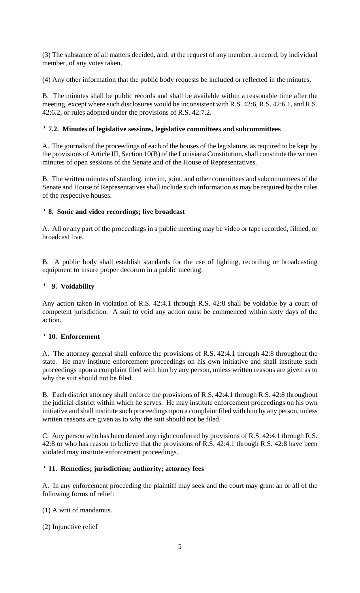(3) The substance of all matters decided, and, at the request of any member, a record, by individual member, of any votes taken.

(4) Any other information that the public body requests be included or reflected in the minutes.

B. The minutes shall be public records and shall be available within a reasonable time after the meeting, except where such disclosures would be inconsistent with R.S. 42:6, R.S. 42:6.1, and R.S. 42:6.2, or rules adopted under the provisions of R.S. 42:7.2.

# **' 7.2. Minutes of legislative sessions, legislative committees and subcommittees**

A. The journals of the proceedings of each of the houses of the legislature, as required to be kept by the provisions of Article III, Section 10(B) of the Louisiana Constitution, shall constitute the written minutes of open sessions of the Senate and of the House of Representatives.

B. The written minutes of standing, interim, joint, and other committees and subcommittees of the Senate and House of Representatives shall include such information as may be required by the rules of the respective houses.

# **' 8. Sonic and video recordings; live broadcast**

A. All or any part of the proceedings in a public meeting may be video or tape recorded, filmed, or broadcast live.

B. A public body shall establish standards for the use of lighting, recording or broadcasting equipment to insure proper decorum in a public meeting.

# **' 9. Voidability**

Any action taken in violation of R.S. 42:4.1 through R.S. 42:8 shall be voidable by a court of competent jurisdiction. A suit to void any action must be commenced within sixty days of the action.

### **' 10. Enforcement**

A. The attorney general shall enforce the provisions of R.S. 42:4.1 through 42:8 throughout the state. He may institute enforcement proceedings on his own initiative and shall institute such proceedings upon a complaint filed with him by any person, unless written reasons are given as to why the suit should not be filed.

B. Each district attorney shall enforce the provisions of R.S. 42:4.1 through R.S. 42:8 throughout the judicial district within which he serves. He may institute enforcement proceedings on his own initiative and shall institute such proceedings upon a complaint filed with him by any person, unless written reasons are given as to why the suit should not be filed.

C. Any person who has been denied any right conferred by provisions of R.S. 42:4.1 through R.S. 42:8 or who has reason to believe that the provisions of R.S. 42:4.1 through R.S. 42:8 have been violated may institute enforcement proceedings.

# **' 11. Remedies; jurisdiction; authority; attorney fees**

A. In any enforcement proceeding the plaintiff may seek and the court may grant an or all of the following forms of relief:

- (1) A writ of mandamus.
- (2) Injunctive relief